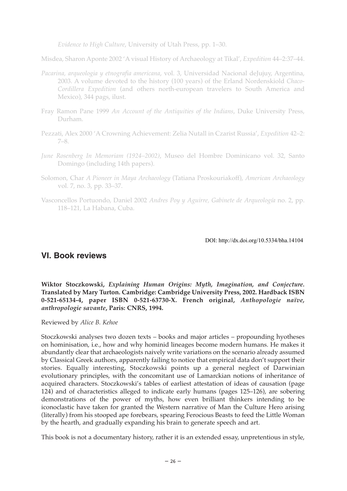*Evidence to High Culture*, University of Utah Press, pp. 1–30.

Misdea, Sharon Aponte 2002 'A visual History of Archaeology at Tikal', *Expedition* 44–2:37–44.

- *Pacarina, arqueologia y etnografia americana*, vol. 3, Universidad Nacional deJujuy, Argentina, 2003. A volume devoted to the history (100 years) of the Erland Nordenskiold *Chaco-Cordillera Expedition* (and others north-european travelers to South America and Mexico), 344 pags, ilust.
- Fray Ramon Pane 1999 *An Account of the Antiquities of the Indians*, Duke University Press, Durham.
- Pezzati, Alex 2000 'A Crowning Achievement: Zelia Nutall in Czarist Russia', *Expedition* 42–2: 7–8.
- *June Rosenberg In Memoriam (1924–2002)*, Museo del Hombre Dominicano vol. 32, Santo Domingo (including 14th papers).
- Solomon, Char *A Pioneer in Maya Archaeology* (Tatiana Proskouriakoff), *American Archaeology* vol. 7, no. 3, pp. 33–37.
- Vasconcellos Portuondo, Daniel 2002 *Andres Poy y Aguirre, Gabinete de Arqueología* no. 2, pp. 118–121, La Habana, Cuba.

## DOI: http://dx.doi.org/10.5334/bha.14104

## **VI. Book reviews**

**Wiktor Stoczkowski,** *Explaining Human Origins: Myth, Imagination, and Conjecture.* **Translated by Mary Turton. Cambridge: Cambridge University Press, 2002. Hardback ISBN 0-521-65134-4, paper ISBN 0-521-63730-X. French original,** *Anthopologie naïve, anthropologie savante***, Paris: CNRS, 1994.**

Reviewed by *Alice B. Kehoe*

Stoczkowski analyses two dozen texts – books and major articles – propounding hyotheses on hominisation, i.e., how and why hominid lineages become modern humans. He makes it abundantly clear that archaeologists naively write variations on the scenario already assumed by Classical Greek authors, apparently failing to notice that empirical data don't support their stories. Equally interesting, Stoczkowski points up a general neglect of Darwinian evolutionary principles, with the concomitant use of Lamarckian notions of inheritance of acquired characters. Stoczkowski's tables of earliest attestation of ideas of causation (page 124) and of characteristics alleged to indicate early humans (pages 125–126), are sobering demonstrations of the power of myths, how even brilliant thinkers intending to be iconoclastic have taken for granted the Western narrative of Man the Culture Hero arising (literally) from his stooped ape forebears, spearing Ferocious Beasts to feed the Little Woman by the hearth, and gradually expanding his brain to generate speech and art.

This book is not a documentary history, rather it is an extended essay, unpretentious in style,